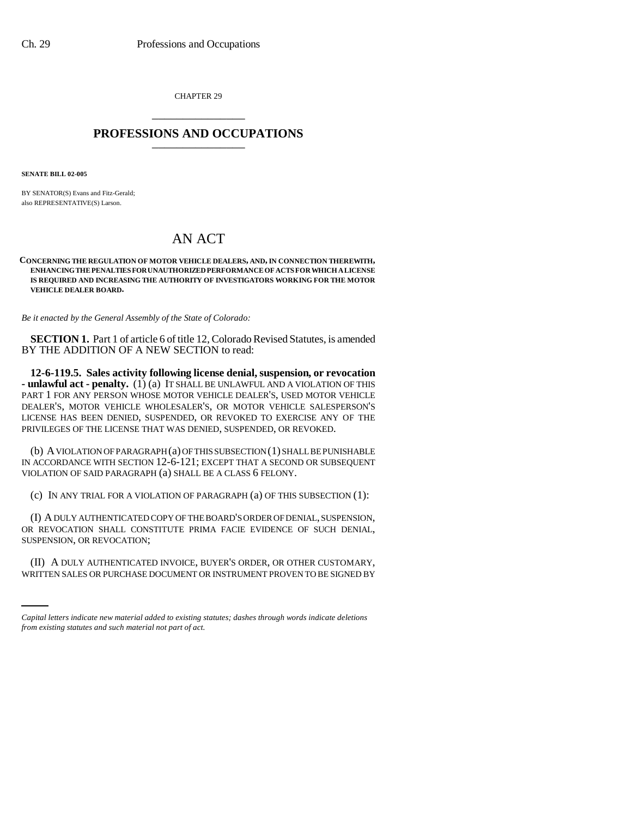CHAPTER 29 \_\_\_\_\_\_\_\_\_\_\_\_\_\_\_

## **PROFESSIONS AND OCCUPATIONS** \_\_\_\_\_\_\_\_\_\_\_\_\_\_\_

**SENATE BILL 02-005**

BY SENATOR(S) Evans and Fitz-Gerald; also REPRESENTATIVE(S) Larson.

## AN ACT

**CONCERNING THE REGULATION OF MOTOR VEHICLE DEALERS, AND, IN CONNECTION THEREWITH, ENHANCING THE PENALTIES FOR UNAUTHORIZED PERFORMANCE OF ACTS FOR WHICH A LICENSE IS REQUIRED AND INCREASING THE AUTHORITY OF INVESTIGATORS WORKING FOR THE MOTOR VEHICLE DEALER BOARD.**

*Be it enacted by the General Assembly of the State of Colorado:*

**SECTION 1.** Part 1 of article 6 of title 12, Colorado Revised Statutes, is amended BY THE ADDITION OF A NEW SECTION to read:

**12-6-119.5. Sales activity following license denial, suspension, or revocation - unlawful act - penalty.** (1) (a) IT SHALL BE UNLAWFUL AND A VIOLATION OF THIS PART 1 FOR ANY PERSON WHOSE MOTOR VEHICLE DEALER'S, USED MOTOR VEHICLE DEALER'S, MOTOR VEHICLE WHOLESALER'S, OR MOTOR VEHICLE SALESPERSON'S LICENSE HAS BEEN DENIED, SUSPENDED, OR REVOKED TO EXERCISE ANY OF THE PRIVILEGES OF THE LICENSE THAT WAS DENIED, SUSPENDED, OR REVOKED.

(b) A VIOLATION OF PARAGRAPH (a) OF THIS SUBSECTION (1) SHALL BE PUNISHABLE IN ACCORDANCE WITH SECTION 12-6-121; EXCEPT THAT A SECOND OR SUBSEQUENT VIOLATION OF SAID PARAGRAPH (a) SHALL BE A CLASS 6 FELONY.

(c) IN ANY TRIAL FOR A VIOLATION OF PARAGRAPH (a) OF THIS SUBSECTION (1):

(I) A DULY AUTHENTICATED COPY OF THE BOARD'S ORDER OF DENIAL, SUSPENSION, OR REVOCATION SHALL CONSTITUTE PRIMA FACIE EVIDENCE OF SUCH DENIAL, SUSPENSION, OR REVOCATION;

an<br>Salah (II) A DULY AUTHENTICATED INVOICE, BUYER'S ORDER, OR OTHER CUSTOMARY, WRITTEN SALES OR PURCHASE DOCUMENT OR INSTRUMENT PROVEN TO BE SIGNED BY

*Capital letters indicate new material added to existing statutes; dashes through words indicate deletions from existing statutes and such material not part of act.*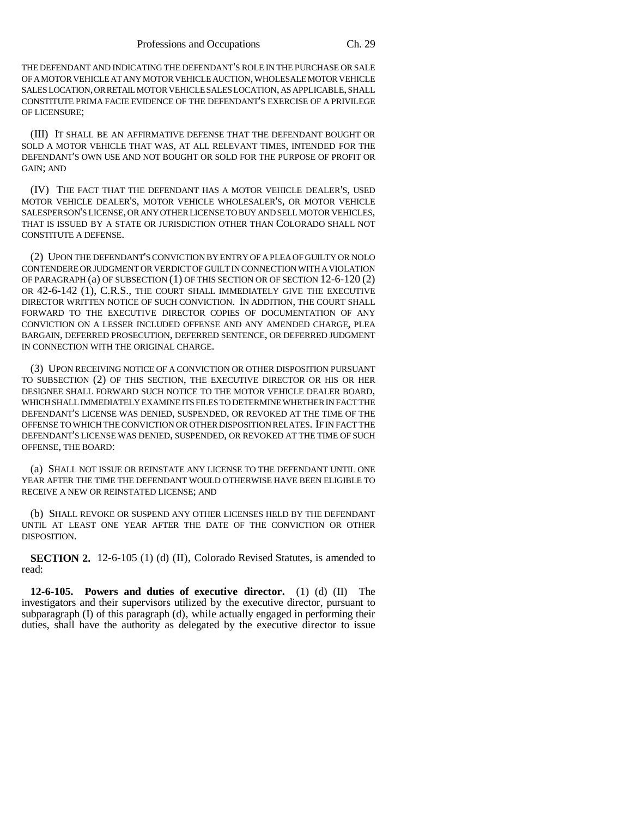THE DEFENDANT AND INDICATING THE DEFENDANT'S ROLE IN THE PURCHASE OR SALE OF A MOTOR VEHICLE AT ANY MOTOR VEHICLE AUCTION, WHOLESALE MOTOR VEHICLE SALES LOCATION, OR RETAIL MOTOR VEHICLE SALES LOCATION, AS APPLICABLE, SHALL CONSTITUTE PRIMA FACIE EVIDENCE OF THE DEFENDANT'S EXERCISE OF A PRIVILEGE OF LICENSURE;

(III) IT SHALL BE AN AFFIRMATIVE DEFENSE THAT THE DEFENDANT BOUGHT OR SOLD A MOTOR VEHICLE THAT WAS, AT ALL RELEVANT TIMES, INTENDED FOR THE DEFENDANT'S OWN USE AND NOT BOUGHT OR SOLD FOR THE PURPOSE OF PROFIT OR GAIN; AND

(IV) THE FACT THAT THE DEFENDANT HAS A MOTOR VEHICLE DEALER'S, USED MOTOR VEHICLE DEALER'S, MOTOR VEHICLE WHOLESALER'S, OR MOTOR VEHICLE SALESPERSON'S LICENSE, OR ANY OTHER LICENSE TO BUY AND SELL MOTOR VEHICLES, THAT IS ISSUED BY A STATE OR JURISDICTION OTHER THAN COLORADO SHALL NOT CONSTITUTE A DEFENSE.

(2) UPON THE DEFENDANT'S CONVICTION BY ENTRY OF A PLEA OF GUILTY OR NOLO CONTENDERE OR JUDGMENT OR VERDICT OF GUILT IN CONNECTION WITH A VIOLATION OF PARAGRAPH (a) OF SUBSECTION (1) OF THIS SECTION OR OF SECTION 12-6-120 (2) OR 42-6-142 (1), C.R.S., THE COURT SHALL IMMEDIATELY GIVE THE EXECUTIVE DIRECTOR WRITTEN NOTICE OF SUCH CONVICTION. IN ADDITION, THE COURT SHALL FORWARD TO THE EXECUTIVE DIRECTOR COPIES OF DOCUMENTATION OF ANY CONVICTION ON A LESSER INCLUDED OFFENSE AND ANY AMENDED CHARGE, PLEA BARGAIN, DEFERRED PROSECUTION, DEFERRED SENTENCE, OR DEFERRED JUDGMENT IN CONNECTION WITH THE ORIGINAL CHARGE.

(3) UPON RECEIVING NOTICE OF A CONVICTION OR OTHER DISPOSITION PURSUANT TO SUBSECTION (2) OF THIS SECTION, THE EXECUTIVE DIRECTOR OR HIS OR HER DESIGNEE SHALL FORWARD SUCH NOTICE TO THE MOTOR VEHICLE DEALER BOARD, WHICH SHALL IMMEDIATELY EXAMINE ITS FILES TO DETERMINE WHETHER IN FACT THE DEFENDANT'S LICENSE WAS DENIED, SUSPENDED, OR REVOKED AT THE TIME OF THE OFFENSE TO WHICH THE CONVICTION OR OTHER DISPOSITION RELATES. IF IN FACT THE DEFENDANT'S LICENSE WAS DENIED, SUSPENDED, OR REVOKED AT THE TIME OF SUCH OFFENSE, THE BOARD:

(a) SHALL NOT ISSUE OR REINSTATE ANY LICENSE TO THE DEFENDANT UNTIL ONE YEAR AFTER THE TIME THE DEFENDANT WOULD OTHERWISE HAVE BEEN ELIGIBLE TO RECEIVE A NEW OR REINSTATED LICENSE; AND

(b) SHALL REVOKE OR SUSPEND ANY OTHER LICENSES HELD BY THE DEFENDANT UNTIL AT LEAST ONE YEAR AFTER THE DATE OF THE CONVICTION OR OTHER DISPOSITION.

**SECTION 2.** 12-6-105 (1) (d) (II), Colorado Revised Statutes, is amended to read:

**12-6-105. Powers and duties of executive director.** (1) (d) (II) The investigators and their supervisors utilized by the executive director, pursuant to subparagraph (I) of this paragraph (d), while actually engaged in performing their duties, shall have the authority as delegated by the executive director to issue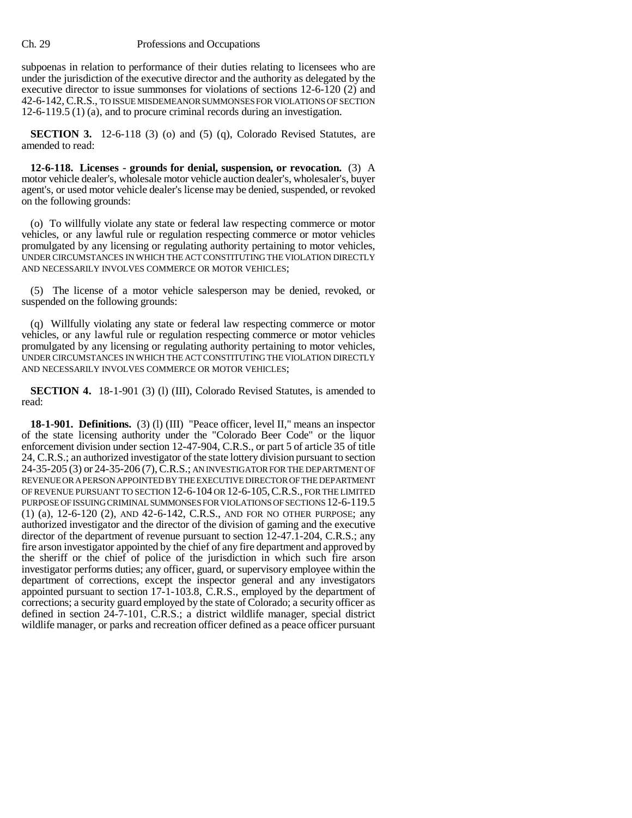## Ch. 29 Professions and Occupations

subpoenas in relation to performance of their duties relating to licensees who are under the jurisdiction of the executive director and the authority as delegated by the executive director to issue summonses for violations of sections 12-6-120 (2) and 42-6-142, C.R.S., TO ISSUE MISDEMEANOR SUMMONSES FOR VIOLATIONS OF SECTION 12-6-119.5 (1) (a), and to procure criminal records during an investigation.

**SECTION 3.** 12-6-118 (3) (o) and (5) (q), Colorado Revised Statutes, are amended to read:

**12-6-118. Licenses - grounds for denial, suspension, or revocation.** (3) A motor vehicle dealer's, wholesale motor vehicle auction dealer's, wholesaler's, buyer agent's, or used motor vehicle dealer's license may be denied, suspended, or revoked on the following grounds:

(o) To willfully violate any state or federal law respecting commerce or motor vehicles, or any lawful rule or regulation respecting commerce or motor vehicles promulgated by any licensing or regulating authority pertaining to motor vehicles, UNDER CIRCUMSTANCES IN WHICH THE ACT CONSTITUTING THE VIOLATION DIRECTLY AND NECESSARILY INVOLVES COMMERCE OR MOTOR VEHICLES;

(5) The license of a motor vehicle salesperson may be denied, revoked, or suspended on the following grounds:

(q) Willfully violating any state or federal law respecting commerce or motor vehicles, or any lawful rule or regulation respecting commerce or motor vehicles promulgated by any licensing or regulating authority pertaining to motor vehicles, UNDER CIRCUMSTANCES IN WHICH THE ACT CONSTITUTING THE VIOLATION DIRECTLY AND NECESSARILY INVOLVES COMMERCE OR MOTOR VEHICLES;

**SECTION 4.** 18-1-901 (3) (1) (III), Colorado Revised Statutes, is amended to read:

**18-1-901. Definitions.** (3) (l) (III) "Peace officer, level II," means an inspector of the state licensing authority under the "Colorado Beer Code" or the liquor enforcement division under section 12-47-904, C.R.S., or part 5 of article 35 of title 24, C.R.S.; an authorized investigator of the state lottery division pursuant to section 24-35-205 (3) or 24-35-206 (7), C.R.S.; AN INVESTIGATOR FOR THE DEPARTMENT OF REVENUE OR A PERSON APPOINTED BY THE EXECUTIVE DIRECTOR OF THE DEPARTMENT OF REVENUE PURSUANT TO SECTION 12-6-104 OR 12-6-105,C.R.S., FOR THE LIMITED PURPOSE OF ISSUING CRIMINAL SUMMONSES FOR VIOLATIONS OF SECTIONS 12-6-119.5 (1) (a), 12-6-120 (2), AND 42-6-142, C.R.S., AND FOR NO OTHER PURPOSE; any authorized investigator and the director of the division of gaming and the executive director of the department of revenue pursuant to section 12-47.1-204, C.R.S.; any fire arson investigator appointed by the chief of any fire department and approved by the sheriff or the chief of police of the jurisdiction in which such fire arson investigator performs duties; any officer, guard, or supervisory employee within the department of corrections, except the inspector general and any investigators appointed pursuant to section 17-1-103.8, C.R.S., employed by the department of corrections; a security guard employed by the state of Colorado; a security officer as defined in section 24-7-101, C.R.S.; a district wildlife manager, special district wildlife manager, or parks and recreation officer defined as a peace officer pursuant